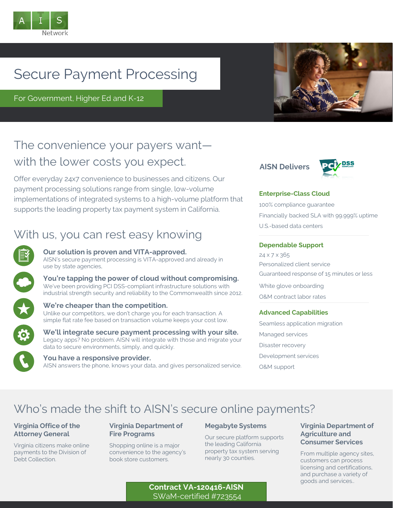

# Secure Payment Processing

For Government, Higher Ed and K-12

# The convenience your payers want with the lower costs you expect.

Offer everyday 24x7 convenience to businesses and citizens. Our payment processing solutions range from single, low-volume implementations of integrated systems to a high-volume platform that supports the leading property tax payment system in California.

## With us, you can rest easy knowing



#### **Our solution is proven and VITA-approved.** AISN's secure payment processing is VITA-approved and already in

use by state agencies,

**You're tapping the power of cloud without compromising.** We've been providing PCI DSS-compliant infrastructure solutions with industrial strength security and reliability to the Commonwealth since 2012.



**We're cheaper than the competition.** Unlike our competitors, we don't charge you for each transaction. A simple flat rate fee based on transaction volume keeps your cost low.

**We'll integrate secure payment processing with your site.** Legacy apps? No problem. AISN will integrate with those and migrate your data to secure environments, simply, and quickly.

**You have a responsive provider.** AISN answers the phone, knows your data, and gives personalized service.



**AISN Delivers**



#### **Enterprise-Class Cloud**

100% compliance guarantee Financially backed SLA with 99.999% uptime U.S.-based data centers

#### **Dependable Support**

24 x 7 x 365 Personalized client service Guaranteed response of 15 minutes or less

White glove onboarding O&M contract labor rates

#### **Advanced Capabilities**

Seamless application migration Managed services Disaster recovery Development services O&M support

# Who's made the shift to AISN's secure online payments?

#### **Virginia Office of the Attorney General**

Virginia citizens make online payments to the Division of Debt Collection.

#### **Virginia Department of Fire Programs**

Shopping online is a major convenience to the agency's book store customers.

#### **Megabyte Systems**

Our secure platform supports the leading California property tax system serving nearly 30 counties.

#### **Virginia Department of Agriculture and Consumer Services**

From multiple agency sites, customers can process licensing and certifications, and purchase a variety of goods and services..

### **Contract VA-120416-AISN** SWaM-certified #723554